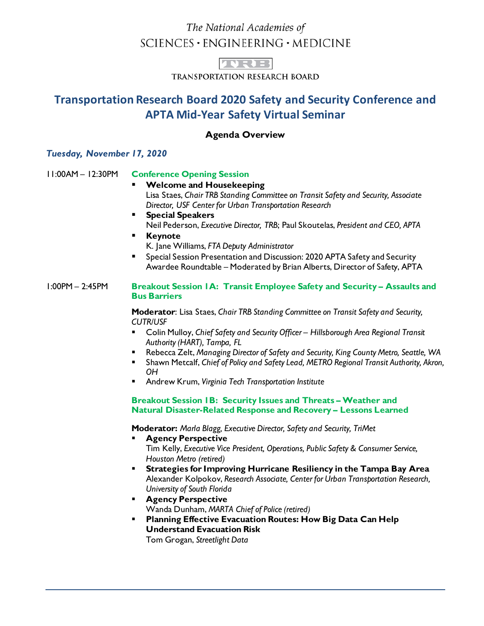# The National Academies of  $SCIENCES \cdot ENGINEERING \cdot MEDICINE$



TRANSPORTATION RESEARCH BOARD

# **Transportation Research Board 2020 Safety and Security Conference and APTA Mid-Year Safety Virtual Seminar**

# **Agenda Overview**

# *Tuesday, November 17, 2020*

# 11:00AM – 12:30PM **Conference Opening Session**

#### **Welcome and Housekeeping** Lisa Staes, *Chair TRB Standing Committee on Transit Safety and Security, Associate Director, USF Center for Urban Transportation Research*

- **Special Speakers** Neil Pederson, *Executive Director, TRB*; Paul Skoutelas, *President and CEO, APTA*
- **Keynote** K. Jane Williams, *FTA Deputy Administrator*
- Special Session Presentation and Discussion: 2020 APTA Safety and Security Awardee Roundtable – Moderated by Brian Alberts, Director of Safety, APTA

#### 1:00PM – 2:45PM **Breakout Session 1A: Transit Employee Safety and Security – Assaults and Bus Barriers**

**Moderator**: Lisa Staes, *Chair TRB Standing Committee on Transit Safety and Security, CUTR/USF*

- Colin Mulloy, *Chief Safety and Security Officer Hillsborough Area Regional Transit Authority (HART), Tampa, FL*
- Rebecca Zelt, *Managing Director of Safety and Security, King County Metro, Seattle, WA*
- Shawn Metcalf, *Chief of Policy and Safety Lead, METRO Regional Transit Authority, Akron, OH*
- Andrew Krum, *Virginia Tech Transportation Institute*

# **Breakout Session 1B: Security Issues and Threats – Weather and Natural Disaster-Related Response and Recovery – Lessons Learned**

 **Moderator:** *Marla Blagg, Executive Director, Safety and Security, TriMet*

- **Agency Perspective** Tim Kelly, *Executive Vice President, Operations, Public Safety & Consumer Service, Houston Metro (retired)*
- **Strategies for Improving Hurricane Resiliency in the Tampa Bay Area** Alexander Kolpokov, *Research Associate, Center for Urban Transportation Research, University of South Florida*
- **Agency Perspective** Wanda Dunham, *MARTA Chief of Police (retired)*
- **Planning Effective Evacuation Routes: How Big Data Can Help Understand Evacuation Risk**

Tom Grogan, *Streetlight Data*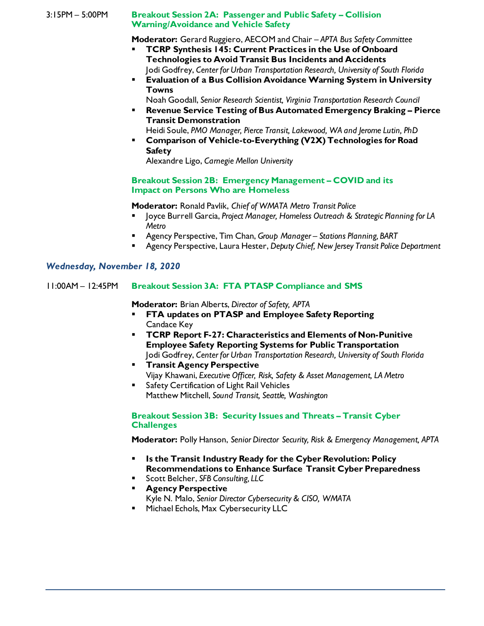#### 3:15PM – 5:00PM **Breakout Session 2A: Passenger and Public Safety – Collision Warning/Avoidance and Vehicle Safety**

**Moderator:** Gerard Ruggiero, AECOM and Chair – *APTA Bus Safety Committee*

- **TCRP Synthesis 145: Current Practices in the Use of Onboard Technologies to Avoid Transit Bus Incidents and Accidents** Jodi Godfrey, *Center for Urban Transportation Research, University of South Florida*
- **Evaluation of a Bus Collision Avoidance Warning System in University Towns**

Noah Goodall, *Senior Research Scientist, Virginia Transportation Research Council*

- **Revenue Service Testing of Bus Automated Emergency Braking – Pierce Transit Demonstration**
- Heidi Soule, *PMO Manager, Pierce Transit, Lakewood, WA and Jerome Lutin, PhD* **Comparison of Vehicle-to-Everything (V2X) Technologies for Road Safety**

Alexandre Ligo, *Carnegie Mellon University*

#### **Breakout Session 2B: Emergency Management – COVID and its Impact on Persons Who are Homeless**

**Moderator:** Ronald Pavlik, *Chief of WMATA Metro Transit Police*

- Joyce Burrell Garcia, *Project Manager, Homeless Outreach & Strategic Planning for LA Metro*
- Agency Perspective, Tim Chan, *Group Manager – Stations Planning, BART*
- Agency Perspective, Laura Hester, *Deputy Chief, New Jersey Transit Police Department*

# *Wednesday, November 18, 2020*

# 11:00AM – 12:45PM **Breakout Session 3A: FTA PTASP Compliance and SMS**

**Moderator:** Brian Alberts, *Director of Safety, APTA*

- **FTA updates on PTASP and Employee Safety Reporting** Candace Key
- **TCRP Report F-27: Characteristics and Elements of Non-Punitive Employee Safety Reporting Systems for Public Transportation** Jodi Godfrey, *Center for Urban Transportation Research, University of South Florida*
- **Transit Agency Perspective** Vijay Khawani, *Executive Officer, Risk, Safety & Asset Management, LA Metro*
- **Safety Certification of Light Rail Vehicles** Matthew Mitchell, *Sound Transit, Seattle, Washington*

### **Breakout Session 3B: Security Issues and Threats – Transit Cyber Challenges**

**Moderator:** Polly Hanson, *Senior Director Security, Risk & Emergency Management, APTA*

- **Is the Transit Industry Ready for the Cyber Revolution: Policy Recommendations to Enhance Surface Transit Cyber Preparedness**
- Scott Belcher, *SFB Consulting, LLC*
- **Agency Perspective** Kyle N. Malo, *Senior Director Cybersecurity & CISO, WMATA*
- **Michael Echols, Max Cybersecurity LLC**